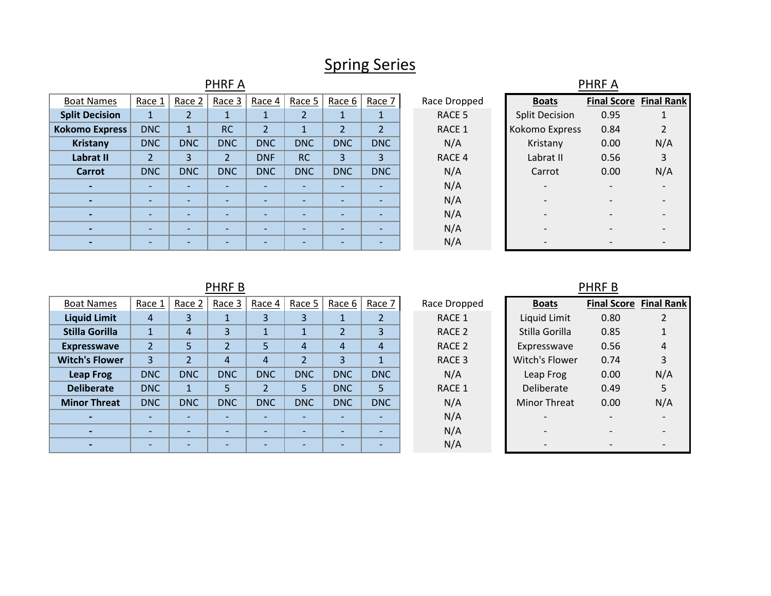## Spring Series

| <b>PHRFA</b>             |                          |                          |                          |                          |                          |                          |                          |  |                   | <b>PHRFA</b>             |      |                               |
|--------------------------|--------------------------|--------------------------|--------------------------|--------------------------|--------------------------|--------------------------|--------------------------|--|-------------------|--------------------------|------|-------------------------------|
| <b>Boat Names</b>        | Race 1                   | Race 2                   | Race 3                   | Race 4                   | Race 5                   | Race 6                   | Race 7                   |  | Race Dropped      | <b>Boats</b>             |      | <b>Final Score Final Rank</b> |
| <b>Split Decision</b>    | $\mathbf{1}$             |                          |                          |                          | 2                        |                          |                          |  | RACE <sub>5</sub> | <b>Split Decision</b>    | 0.95 |                               |
| <b>Kokomo Express</b>    | <b>DNC</b>               |                          | <b>RC</b>                | $\overline{2}$           | 1                        |                          | $\overline{2}$           |  | RACE 1            | Kokomo Express           | 0.84 |                               |
| <b>Kristany</b>          | <b>DNC</b>               | <b>DNC</b>               | <b>DNC</b>               | <b>DNC</b>               | <b>DNC</b>               | <b>DNC</b>               | <b>DNC</b>               |  | N/A               | Kristany                 | 0.00 | N/A                           |
| Labrat II                | $\overline{2}$           | 3                        | $\overline{2}$           | <b>DNF</b>               | <b>RC</b>                | $\overline{3}$           | 3                        |  | RACE 4            | Labrat II                | 0.56 | 3                             |
| <b>Carrot</b>            | <b>DNC</b>               | <b>DNC</b>               | <b>DNC</b>               | <b>DNC</b>               | <b>DNC</b>               | <b>DNC</b>               | <b>DNC</b>               |  | N/A               | Carrot                   | 0.00 | N/A                           |
| $\overline{\phantom{0}}$ | $\overline{\phantom{a}}$ | $\overline{\phantom{0}}$ | $\overline{\phantom{0}}$ | $\overline{\phantom{0}}$ | $\overline{\phantom{a}}$ | $\overline{\phantom{0}}$ | $\overline{\phantom{0}}$ |  | N/A               | $\overline{\phantom{0}}$ |      |                               |
| $\overline{\phantom{0}}$ | $\overline{\phantom{0}}$ | $\overline{\phantom{0}}$ | $\overline{\phantom{0}}$ | $\overline{\phantom{0}}$ | $\overline{\phantom{0}}$ | $\overline{\phantom{0}}$ | $\overline{\phantom{0}}$ |  | N/A               |                          |      |                               |
| $\overline{\phantom{0}}$ | $\overline{\phantom{0}}$ |                          | $\overline{\phantom{0}}$ |                          | $\overline{\phantom{0}}$ | $\overline{\phantom{0}}$ |                          |  | N/A               |                          |      |                               |
|                          | $\qquad \qquad$          | $\overline{\phantom{0}}$ | $\overline{\phantom{0}}$ |                          | $\overline{\phantom{0}}$ | $\overline{\phantom{0}}$ |                          |  | N/A               |                          |      |                               |
|                          |                          |                          |                          |                          | $\overline{\phantom{0}}$ |                          |                          |  | N/A               |                          |      |                               |

PHRF B

| <b>Boat Names</b>     | Race 1         | Race 2         | Race 3                   | Race 4         | Race 5                   | Race 6     | Race 7         | Race Dropped | <b>Boats</b>             | Final Score Final Ra |     |
|-----------------------|----------------|----------------|--------------------------|----------------|--------------------------|------------|----------------|--------------|--------------------------|----------------------|-----|
| <b>Liquid Limit</b>   | $\overline{4}$ | 3              |                          |                | 3                        |            |                | RACE 1       | Liquid Limit             | 0.80                 | 2   |
| <b>Stilla Gorilla</b> |                | 4              | 3                        |                |                          |            | 3              | RACE 2       | Stilla Gorilla           | 0.85                 |     |
| <b>Expresswave</b>    | $\overline{2}$ | 5              | $\overline{2}$           | 5              | $\overline{4}$           | 4          | $\overline{4}$ | RACE 2       | Expresswave              | 0.56                 | 4   |
| <b>Witch's Flower</b> | 3              | $\overline{2}$ | 4                        | $\overline{4}$ | $\overline{2}$           | 3          |                | RACE 3       | Witch's Flower           | 0.74                 | 3   |
| <b>Leap Frog</b>      | <b>DNC</b>     | <b>DNC</b>     | <b>DNC</b>               | <b>DNC</b>     | <b>DNC</b>               | <b>DNC</b> | <b>DNC</b>     | N/A          | Leap Frog                | 0.00                 | N/A |
| <b>Deliberate</b>     | <b>DNC</b>     | $\mathbf{1}$   |                          | $\overline{2}$ | 5                        | <b>DNC</b> | 5              | RACE 1       | Deliberate               | 0.49                 | 5   |
| <b>Minor Threat</b>   | <b>DNC</b>     | <b>DNC</b>     | <b>DNC</b>               | <b>DNC</b>     | <b>DNC</b>               | <b>DNC</b> | <b>DNC</b>     | N/A          | Minor Threat             | 0.00                 | N/A |
|                       |                |                |                          |                | $\overline{\phantom{0}}$ |            |                | N/A          | $\overline{\phantom{0}}$ |                      |     |
|                       |                |                | $\overline{\phantom{0}}$ |                | $\overline{\phantom{0}}$ |            |                | N/A          |                          |                      |     |
|                       |                |                |                          |                | $\overline{\phantom{0}}$ |            |                | N/A          |                          |                      |     |
|                       |                |                |                          |                |                          |            |                |              |                          |                      |     |

| <b>Boats</b>   | <b>Final Score Final Rank</b> |               |
|----------------|-------------------------------|---------------|
| Liquid Limit   | 0.80                          | $\mathcal{P}$ |
| Stilla Gorilla | 0.85                          | 1             |
| Expresswave    | 0.56                          | 4             |
| Witch's Flower | 0.74                          | 3             |
| Leap Frog      | 0.00                          | N/A           |
| Deliberate     | 0.49                          | 5             |
| Minor Threat   | 0.00                          | N/A           |
|                |                               |               |
|                |                               |               |
|                |                               |               |